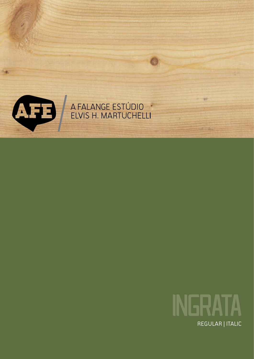



**SEP**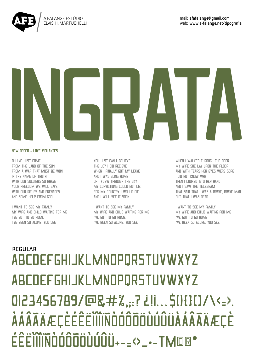

## INGRATA

## NEW ORDER - Love Vigilantes

Oh I've just come FROM THE LAND OF THE SUN FROM A WAR THAT MUST BE WON IN THE NAME OF TRUTH With our soldiers so brave your freedom we will save With our rifles and grenades AND SOME HELP FROM GOD

I want to see my family My wife and child waiting for me I've got to go home I've been so alone, you see

You just can't believe The joy I did recieve WHEN I FINALLY GOT MY LEAVE AND I WAS GOING HOME Oh I flew through the sky my convictions could not lie For my country I would die And I will see it soon

I want to see my family My wife and child waiting for me I've got to go home I've been so alone, you see

WHEN I WALKED THROUGH THE DOOR My wife she lay upon the floor And with tears her eyes were sore I did not know why Then I looked into her hand And I saw the telegram THAT SAID THAT I WAS A BRAVE, BRAVE MAN But that I was dead

I want to see my family My wife and child waiting for me I've got to go home I've been so alone, you see

ABCDEFGHIJKLMNOPQRSTUVWXYZ abcdefghijklmnopqrstuvwxyz  $0123456789/\text{Q}$ &#%,  $:$ ? ¿!i...\$(){}[)/\<=>. ÀÁÂÃÄÆÇÈÉÊËÌÎÍÏÑÒÓÔÕÖÙÚÛÜàáâãäæçè éêëìîíïñòóôõöùúûü+-=<>\_•-TM©®\* **REGULAR**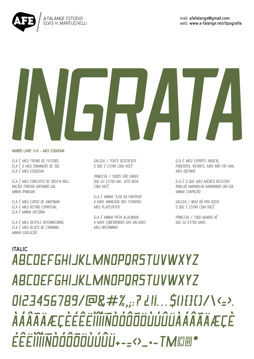

A FALANGE ESTÚDIO ELVIS H. MARTUCHELLI

## *INGRATA*

*MUNDO LIVRE S/A - MEU ESQUEMA*

*Ela é meu treino de futebol Ela é o meu domingão de sol Ela é meu esquema*

*Ela é meu concerto de rock'n roll nação! Torcida gritando gol Minha Ipanema*

*Ela é meu curso de anatomia Ela é meu retiro espiritual Ela é minha história*

*Ela é meu desfile internacional Ela é meu bloco de carnaval Minha evolução*

*Galega / Tento descrever O que é estar com você*

*Princesa / Todos vão saber Que eu estou mu...uito bem Com você*

*Ela é minha "Ilha da Fantasia" A mais avançada das terapias Meu playcenter*

*Ela é minha pista alucinada A mais concorridas das baladas Meu inferninho*

*Ela é meu esporte radical Poderosa, viciante, mas não faz mal Meu docinho*

*Ela é o que meu médico receitou Rivaldo maravilha mandando um gol Minha chapação*

*Galega / Nem dá pra dizer O que é estar com você*

*Princesa / Todo mundo vê Que eu estou mais...*

*ABCDEFGHIJKLMNOPQRSTUVWXYZ abcdefghijklmnopqrstuvwxyz 0123456789/@&#%,;:?¿!¡...\$(){}[]/\<=>. ÀÁÂÃÄÆÇÈÉÊËÌÎÍÏÑÒÓÔÕÖÙÚÛÜàáâãäæçè éêëìîíïñòóôõöùúûü+-=<>\_•-TM©®\** **ITALIC**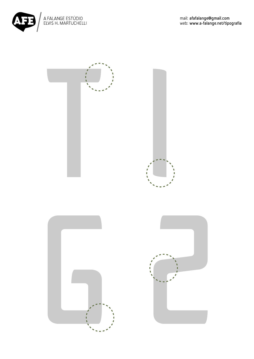

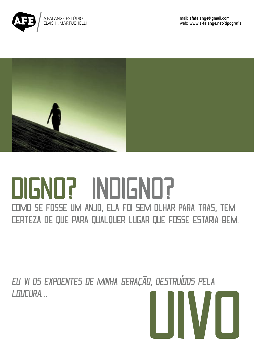



## digno? indigno? como se fosse um anjo, ela foi sem olhar para tras, tem

certeza de que para qualquer lugar que fosse estaria bem.

*eu vi os expoentes de minha geração, destruídos pela loucura...* UIVO